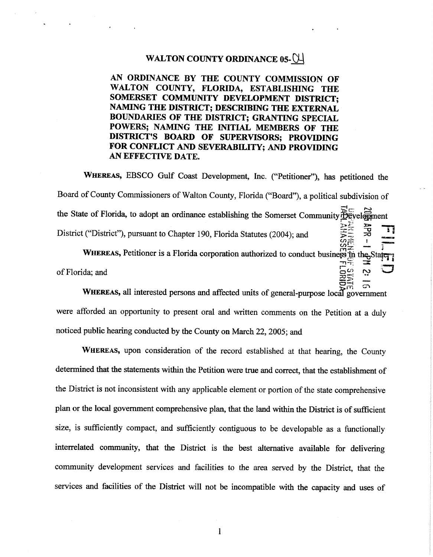### WALTON COUNTY ORDINANCE 05-CH

AN ORDINANCE BY THE COUNTY COMMISSION OF WALTON COUNTY, FLORIDA, ESTABLISHING THE SOMERSET COMMUNITY DEVELOPMENT DISTRICT; NAMING THE DISTRICT; DESCRIBING THE EXTERNAL BOUNDARIES OF THE DISTRICT; GRANTING SPECIAL POWERS; NAMING THE INITIAL MEMBERS OF THE DISTRICT'S BOARD OF SUPERVISORS; PROVIDING FOR CONFLICT AND SEVERABILITY; AND PROVIDING AN EFFECTIVE DATE.

WHEREAS, EBSCO Gulf Coast Development, Inc. ("Petitioner"), has petitioned the Board of County Commissioners of Walton County, Florida ("Board"), a political subdivision of the State of Florida, to adopt an ordinance establishing the Somerset Community Development APR District ("District"), pursuant to Chapter 190, Florida Statutes (2004); and

WHEREAS, Petitioner is a Florida corporation authorized to conduct business in the Stater of Florida: and

 $\sigma$ 

m

WHEREAS, all interested persons and affected units of general-purpose local government were afforded an opportunity to present oral and written comments on the Petition at a duly noticed public hearing conducted by the County on March 22, 2005; and

WHEREAS, upon consideration of the record established at that hearing, the County determined that the statements within the Petition were true and correct, that the establishment of the District is not inconsistent with any applicable element or portion of the state comprehensive plan or the local government comprehensive plan, that the land within the District is of sufficient size, is sufficiently compact, and sufficiently contiguous to be developable as a functionally interrelated community, that the District is the best alternative available for delivering community development services and facilities to the area served by the District, that the services and facilities of the District will not be incompatible with the capacity and uses of

 $\mathbf{1}$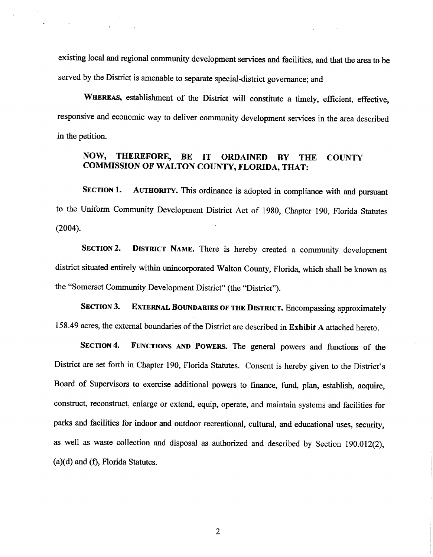existing local and regional community development services and facilities, and that the area to be served by the District is amenable to separate special-district governance; and

 $\mathcal{L}(\mathcal{A})$  and  $\mathcal{A}(\mathcal{A})$  and  $\mathcal{A}(\mathcal{A})$ 

WHEREAS, establishment of the District will constitute a timely, efficient, effective, responsive and economic way to deliver community development services in the area described in the petition.

## **NOW, THEREFORE, BE IT ORDAINED BY THE COUNTY COMMISSION OF WALTON COUNTY, FLORIDA, THAT:**

**SECTION 1. AUTHORITY.** This ordinance is adopted in compliance with and pursuant to the Uniform Community Development District Act of 1980, Chapter 190, Florida Statutes (2004).

**SECTION 2. DISTRICT NAME.** There is hereby created a community development district situated entirely within unincorporated Walton County, Florida, which shall be known as the "Somerset Community Development District" (the "District").

**SECTION 3. EXTERNAL BOUNDARIES OF THE DISTRICT.** Encompassing approximately 158.49 acres, the external boundaries ofthe District are described in **Exhibit A** attached hereto.

**SECTION 4. FUNCTIONS AND POWERS.** The general powers and functions of the District are set forth in Chapter 190, Florida Statutes. Consent is hereby given to the District's Board of Supervisors to exercise additional powers to finance, fund, plan, establish, acquire, construct, reconstruct, enlarge or extend, equip, operate, and maintain systems and facilities for parks and facilities for indoor and outdoor recreational, cultural, and educational uses, security, as well as waste collection and disposal as authorized and described by Section 190.012(2),  $(a)(d)$  and  $(f)$ , Florida Statutes.

2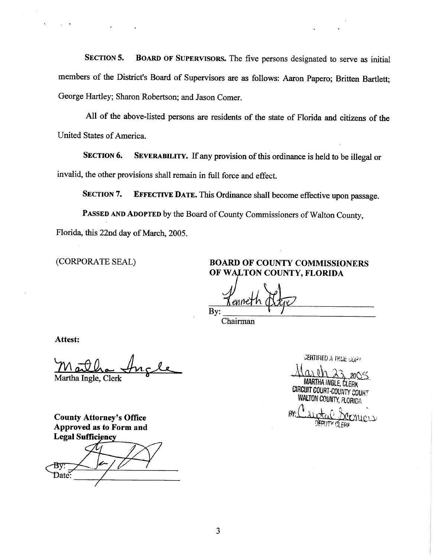**SECTION 5. BOARD OF SUPERVISORS.** The five persons designated to serve as initial members of the District's Board of Supervisors are as follows: Aaron Papero; Britten Bartlett; George Hartley; Sharon Robertson; and Jason Comer.

All of the above-listed persons are residents of the state of Florida and citizens of the United States of America.

**SECTION 6.** SEVERABILITY. If any provision of this ordinance is held to be illegal or invalid, the other provisions shall remain in full force and effect.

**SECTION 7. EFFECTIVE DATE.** This Ordinance shall become effective upon passage.

PASSED AND ADOPTED by the Board of County Commissioners of Walton County, Florida, this 22nd day of March, 2005.

 $\label{eq:2.1} \mathcal{L}(\mathcal{L}^{\text{max}}) = \mathcal{L}(\mathcal{L}^{\text{max}})$ 

 $\mathcal{L}_{\rm eff}$  and  $\mathcal{L}_{\rm eff}$ 

(CORPORATE SEAL) **BOARD OF COUNTY COMMISSIONERS OF WALTON COUNTY, FLORIDA** 

 $Bv:$   $\sqrt{ }$ 

Chairman

**Attest:** 

Maitha Ingle Martha Ingle, Clerk

**County Attorney's Office Approved as to Form and Legal Sufficiency** 

Date

**CERTIFIED A TRUE CONV** 

MARTHA INGLE, CLERK CIRCUIT COURT-COUNTY COURT **WALTON COUNTY, FLORIDA** 

RY.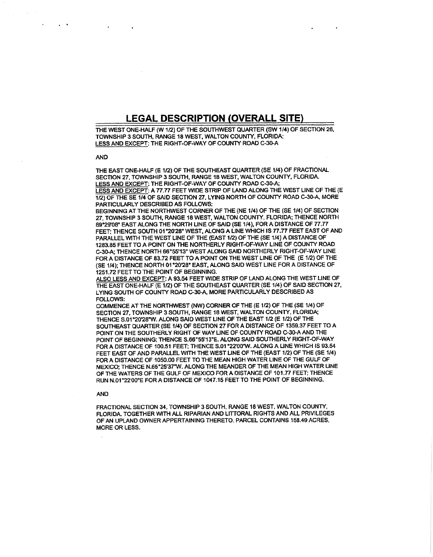## **LEGAL DESCRIPTION (OVERALL SITE)**

THE WEST ONE-HALF (W 1/2) OF THE SOUTHWEST QUARTER (SW 1/4) OF SECTION 26, TOWNSHIP 3 SOUTH, RANGE 18 WEST, WALTON COUNTY, FLORIDA: LESS AND EXCEPT: THE RIGHT-OF-WAY OF COUNTY ROAD C-30-A

#### AND

 $\mathcal{L}_\mathrm{c}$  and  $\mathcal{L}_\mathrm{c}$ 

THE EAST ONE-HALF (E 1/2) OF THE SOUTHEAST QUARTER (SE 1/4) OF FRACTIONAL SECTION 27, TOWNSHIP 3 SOUTH, RANGE 18 WEST, WALTON COUNTY, FLORIDA. LESS AND EXCEFT: THE RIGHT-OF-WAY OF COUNTY ROAD C-30-A; LESS AND EXCEPT: A 77.77 FEET WIDE STRIP OF LAND ALONG THE WEST LINE OF THE (E 1/2) OF THE SE 1f4 OF SAID SECTION 27, LYING NORTH OF COUNTY ROAD C-30-A, MORE

PARTICULARLY DESCRIBED AS FOLLOWS: BEGINNING AT THE NORTHWEST CORNER OF THE (NE 1/4) OF THE (SE 1/4) OF SECTION 27, TOWNSHIP 3 SOUTH, RANGE 18 WEST, WALTON COUNTY, FLORIDA; THENCE NORTH 89°29'08" EAST ALONG THE NORTH LINE OF SAID (SE 114), FOR A DISTANCE OF 77.77 FEET; THENCE SOUTH 01°20'28" WEST, ALONG A LINE WHICH IS 77.77 FEET EAST OF AND PARALLEL WITH THE WEST LINE OF THE (EAST 1/2) OF THE (SE 1/4) A DISTANCE OF 1283.85 FEET TO A POINT ON THE NORTHERLY RIGHT-OF-WAY LINE OF COUNTY ROAD C-30-A; THENCE NORTH 66°55'13" WEST ALONG SAID NORTHERLY RIGHT-OF-WAY LINE FOR A DISTANCE OF 83.72 FEET TO A POINT ON THE WEST LINE OF THE (E 1/2) OF THE (SE 1/4); THENCE NORTH 01 °20'28" EAST, ALONG SAID WEST LINE FOR A DISTANCE OF 1251.72 FEET TO THE POINT OF BEGINNING.

ALSO LESS AND EXCEPT: A 93.54 FEET WIDE STRIP OF LANO ALONG THE WEST LINE OF THE EAST ONE-HALF (E 1/2) OF THE SOUTHEAST QUARTER (SE 1/4) OF SAID SECTION 27, LYING SOUTH OF COUNTY ROAD C-30-A, MORE PARTICULARLY DESCRIBED AS FOLLOWS:

COMMENCE AT THE NORTHWEST (NW) CORNER OF THE (E 1/2) OF THE (SE 1/4) OF SECTION 27, TOWNSHIP 3 SOUTH, RANGE 18 WEST, WALTON COUNTY, FLORIDA; THENCE S.01 °20'28"W. ALONG SAID WEST LINE OF THE EAST 1/2 (E 112) OF THE SOUTHEAST QUARTER (SE 1/4) OF SECTION 27 FOR A DISTANCE OF 1359.37 FEET TO <sup>A</sup> POINT ON THE SOUTHERLY RIGHT OF WAY LINE OF COUNTY ROAD C-30-A ANO THE POINT OF BEGINNING; THENCE S.66"55'13"E. ALONG SAID SOUTHERLY RIGHT-OF-WAY FOR **A** DISTANCE OF 100.51 FEET; THENCE S.01 "22'00"W. ALONG A LINE WHICH IS 93.54 FEET EAST OF AND PARALLEL WITH THE WEST LINE OF THE (EAST 1/2) OF THE (SE 1/4) FOR A DISTANCE OF 1050.00 FEET TO THE MEAN HIGH WATER LINE OF THE GULF OF MEXICO; THENCE N.65°25'37"W, ALONG THE MEANDER OF THE MEAN HIGH WATER LINE OF THE WATERS OF THE GULF OF MEXICO FOR A DISTANCE OF 101.TT FEET; THENCE RUN N.01°22'00"E FORA DISTANCE OF 1047.15 FEET TO THE POINT OF BEGINNING.

#### AND

FRACTIONAL SECTION 34, TOWNSHIP 3 SOUTH, RANGE 18 WEST, WALTON COUNTY, FLORIDA. TOGETHER WITH ALL RIPARIAN AND LITTORAL RIGHTS AND ALL PRIVILEGES OF AN UPLAND OWNER APPERTAINING THERETO. PARCEL CONTAINS 158.49 ACRES, MORE OR LESS.